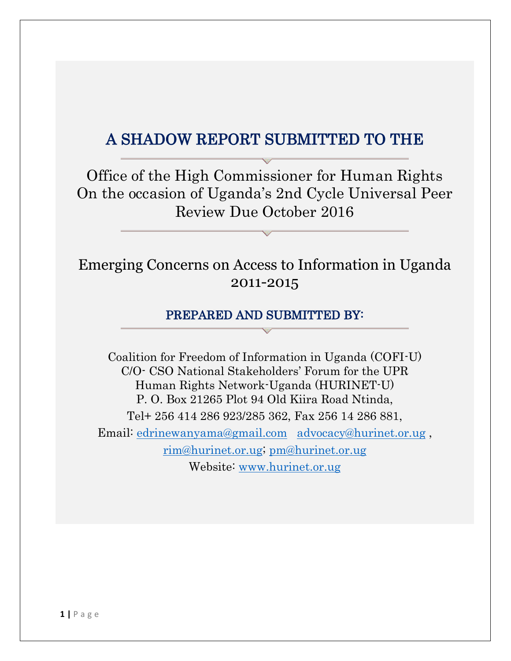# A SHADOW REPORT SUBMITTED TO THE

Office of the High Commissioner for Human Rights On the occasion of Uganda's 2nd Cycle Universal Peer Review Due October 2016

# Emerging Concerns on Access to Information in Uganda 2011-2015

#### PREPARED AND SUBMITTED BY:

Coalition for Freedom of Information in Uganda (COFI-U) C/O- CSO National Stakeholders' Forum for the UPR Human Rights Network-Uganda (HURINET-U) P. O. Box 21265 Plot 94 Old Kiira Road Ntinda, Tel+ 256 414 286 923/285 362, Fax 256 14 286 881, Email: [edrinewanyama@gmail.com](mailto:edrinewanyama@gmail.com) [advocacy@hurinet.or.ug](mailto:advocacy@hurinet.or.ug) , [rim@hurinet.or.ug;](mailto:rim@hurinet.or.ug) [pm@hurinet.or.ug](mailto:pm@hurinet.or.ug) Website: [www.hurinet.or.ug](http://www.hurinet.or.ug/)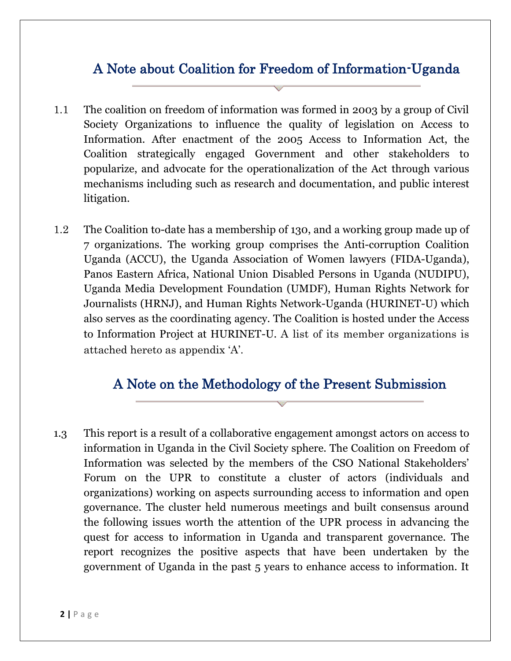## A Note about Coalition for Freedom of Information-Uganda

- 1.1 The coalition on freedom of information was formed in 2003 by a group of Civil Society Organizations to influence the quality of legislation on Access to Information. After enactment of the 2005 Access to Information Act, the Coalition strategically engaged Government and other stakeholders to popularize, and advocate for the operationalization of the Act through various mechanisms including such as research and documentation, and public interest litigation.
- 1.2 The Coalition to-date has a membership of 130, and a working group made up of 7 organizations. The working group comprises the Anti-corruption Coalition Uganda (ACCU), the Uganda Association of Women lawyers (FIDA-Uganda), Panos Eastern Africa, National Union Disabled Persons in Uganda (NUDIPU), Uganda Media Development Foundation (UMDF), Human Rights Network for Journalists (HRNJ), and Human Rights Network-Uganda (HURINET-U) which also serves as the coordinating agency. The Coalition is hosted under the Access to Information Project at HURINET-U. A list of its member organizations is attached hereto as appendix 'A'.

### A Note on the Methodology of the Present Submission

1.3 This report is a result of a collaborative engagement amongst actors on access to information in Uganda in the Civil Society sphere. The Coalition on Freedom of Information was selected by the members of the CSO National Stakeholders' Forum on the UPR to constitute a cluster of actors (individuals and organizations) working on aspects surrounding access to information and open governance. The cluster held numerous meetings and built consensus around the following issues worth the attention of the UPR process in advancing the quest for access to information in Uganda and transparent governance. The report recognizes the positive aspects that have been undertaken by the government of Uganda in the past 5 years to enhance access to information. It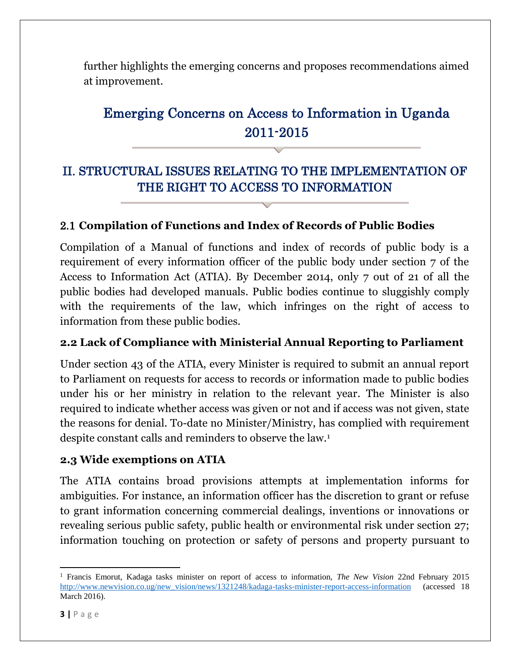further highlights the emerging concerns and proposes recommendations aimed at improvement.

# Emerging Concerns on Access to Information in Uganda 2011-2015

## II. STRUCTURAL ISSUES RELATING TO THE IMPLEMENTATION OF THE RIGHT TO ACCESS TO INFORMATION

#### 2.1 **Compilation of Functions and Index of Records of Public Bodies**

Compilation of a Manual of functions and index of records of public body is a requirement of every information officer of the public body under section 7 of the Access to Information Act (ATIA). By December 2014, only 7 out of 21 of all the public bodies had developed manuals. Public bodies continue to sluggishly comply with the requirements of the law, which infringes on the right of access to information from these public bodies.

#### **2.2 Lack of Compliance with Ministerial Annual Reporting to Parliament**

Under section 43 of the ATIA, every Minister is required to submit an annual report to Parliament on requests for access to records or information made to public bodies under his or her ministry in relation to the relevant year. The Minister is also required to indicate whether access was given or not and if access was not given, state the reasons for denial. To-date no Minister/Ministry, has complied with requirement despite constant calls and reminders to observe the law.<sup>1</sup>

#### **2.3 Wide exemptions on ATIA**

The ATIA contains broad provisions attempts at implementation informs for ambiguities. For instance, an information officer has the discretion to grant or refuse to grant information concerning commercial dealings, inventions or innovations or revealing serious public safety, public health or environmental risk under section 27; information touching on protection or safety of persons and property pursuant to

 $\overline{\phantom{a}}$ <sup>1</sup> Francis Emorut, Kadaga tasks minister on report of access to information, *The New Vision* 22nd February 2015 [http://www.newvision.co.ug/new\\_vision/news/1321248/kadaga-tasks-minister-report-access-information](http://www.newvision.co.ug/new_vision/news/1321248/kadaga-tasks-minister-report-access-information) (accessed 18 March 2016).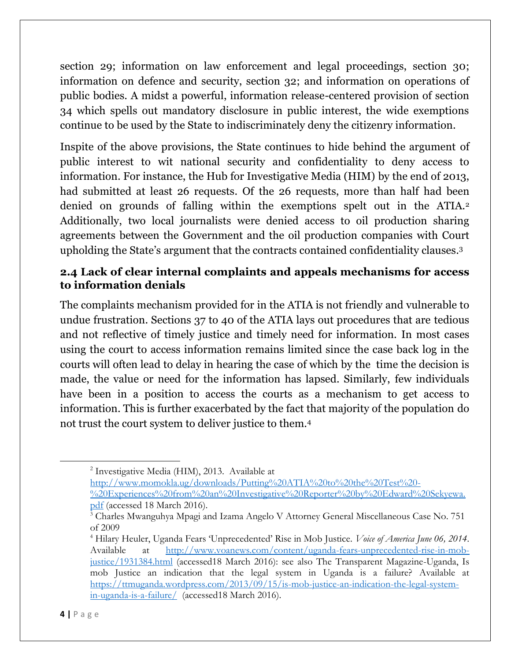section 29; information on law enforcement and legal proceedings, section 30; information on defence and security, section 32; and information on operations of public bodies. A midst a powerful, information release-centered provision of section 34 which spells out mandatory disclosure in public interest, the wide exemptions continue to be used by the State to indiscriminately deny the citizenry information.

Inspite of the above provisions, the State continues to hide behind the argument of public interest to wit national security and confidentiality to deny access to information. For instance, the Hub for Investigative Media (HIM) by the end of 2013, had submitted at least 26 requests. Of the 26 requests, more than half had been denied on grounds of falling within the exemptions spelt out in the ATIA.<sup>2</sup> Additionally, two local journalists were denied access to oil production sharing agreements between the Government and the oil production companies with Court upholding the State's argument that the contracts contained confidentiality clauses. 3

#### **2.4 Lack of clear internal complaints and appeals mechanisms for access to information denials**

The complaints mechanism provided for in the ATIA is not friendly and vulnerable to undue frustration. Sections 37 to 40 of the ATIA lays out procedures that are tedious and not reflective of timely justice and timely need for information. In most cases using the court to access information remains limited since the case back log in the courts will often lead to delay in hearing the case of which by the time the decision is made, the value or need for the information has lapsed. Similarly, few individuals have been in a position to access the courts as a mechanism to get access to information. This is further exacerbated by the fact that majority of the population do not trust the court system to deliver justice to them.<sup>4</sup>

2 Investigative Media (HIM), 2013. Available at

[http://www.momokla.ug/downloads/Putting%20ATIA%20to%20the%20Test%20-](http://www.momokla.ug/downloads/Putting%20ATIA%20to%20the%20Test%20-%20Experiences%20from%20an%20Investigative%20Reporter%20by%20Edward%20Sekyewa.pdf) [%20Experiences%20from%20an%20Investigative%20Reporter%20by%20Edward%20Sekyewa.](http://www.momokla.ug/downloads/Putting%20ATIA%20to%20the%20Test%20-%20Experiences%20from%20an%20Investigative%20Reporter%20by%20Edward%20Sekyewa.pdf) [pdf](http://www.momokla.ug/downloads/Putting%20ATIA%20to%20the%20Test%20-%20Experiences%20from%20an%20Investigative%20Reporter%20by%20Edward%20Sekyewa.pdf) (accessed 18 March 2016).

 $\overline{a}$ 

<sup>&</sup>lt;sup>3</sup> Charles Mwanguhya Mpagi and Izama Angelo V Attorney General Miscellaneous Case No. 751 of 2009

<sup>4</sup> Hilary Heuler, Uganda Fears 'Unprecedented' Rise in Mob Justice. *Voice of America June 06, 2014*. Available at [http://www.voanews.com/content/uganda-fears-unprecedented-rise-in-mob](http://www.voanews.com/content/uganda-fears-unprecedented-rise-in-mob-justice/1931384.html)[justice/1931384.html](http://www.voanews.com/content/uganda-fears-unprecedented-rise-in-mob-justice/1931384.html) (accessed18 March 2016): see also The Transparent Magazine-Uganda, Is mob Justice an indication that the legal system in Uganda is a failure? Available at [https://ttmuganda.wordpress.com/2013/09/15/is-mob-justice-an-indication-the-legal-system](https://ttmuganda.wordpress.com/2013/09/15/is-mob-justice-an-indication-the-legal-system-in-uganda-is-a-failure/)[in-uganda-is-a-failure/](https://ttmuganda.wordpress.com/2013/09/15/is-mob-justice-an-indication-the-legal-system-in-uganda-is-a-failure/) (accessed18 March 2016).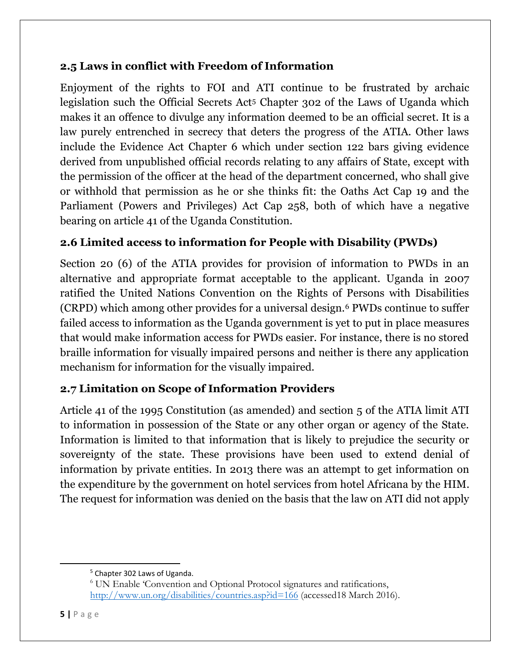#### **2.5 Laws in conflict with Freedom of Information**

Enjoyment of the rights to FOI and ATI continue to be frustrated by archaic legislation such the Official Secrets Act<sup>5</sup> Chapter 302 of the Laws of Uganda which makes it an offence to divulge any information deemed to be an official secret. It is a law purely entrenched in secrecy that deters the progress of the ATIA. Other laws include the Evidence Act Chapter 6 which under section 122 bars giving evidence derived from unpublished official records relating to any affairs of State, except with the permission of the officer at the head of the department concerned, who shall give or withhold that permission as he or she thinks fit: the Oaths Act Cap 19 and the Parliament (Powers and Privileges) Act Cap 258, both of which have a negative bearing on article 41 of the Uganda Constitution.

## **2.6 Limited access to information for People with Disability (PWDs)**

Section 20 (6) of the ATIA provides for provision of information to PWDs in an alternative and appropriate format acceptable to the applicant. Uganda in 2007 ratified the United Nations Convention on the Rights of Persons with Disabilities (CRPD) which among other provides for a universal design.<sup>6</sup> PWDs continue to suffer failed access to information as the Uganda government is yet to put in place measures that would make information access for PWDs easier. For instance, there is no stored braille information for visually impaired persons and neither is there any application mechanism for information for the visually impaired.

### **2.7 Limitation on Scope of Information Providers**

Article 41 of the 1995 Constitution (as amended) and section 5 of the ATIA limit ATI to information in possession of the State or any other organ or agency of the State. Information is limited to that information that is likely to prejudice the security or sovereignty of the state. These provisions have been used to extend denial of information by private entities. In 2013 there was an attempt to get information on the expenditure by the government on hotel services from hotel Africana by the HIM. The request for information was denied on the basis that the law on ATI did not apply

 $\overline{\phantom{a}}$ 

<sup>5</sup> Chapter 302 Laws of Uganda.

<sup>6</sup> UN Enable 'Convention and Optional Protocol signatures and ratifications, <http://www.un.org/disabilities/countries.asp?id=166> (accessed18 March 2016).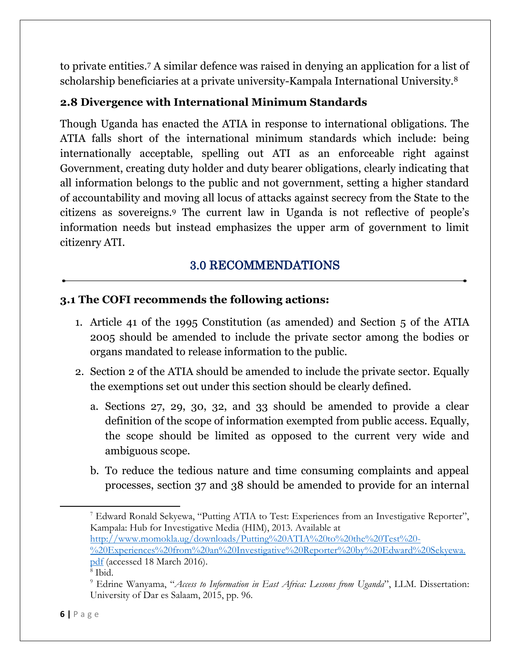to private entities.<sup>7</sup> A similar defence was raised in denying an application for a list of scholarship beneficiaries at a private university-Kampala International University.<sup>8</sup>

#### **2.8 Divergence with International Minimum Standards**

Though Uganda has enacted the ATIA in response to international obligations. The ATIA falls short of the international minimum standards which include: being internationally acceptable, spelling out ATI as an enforceable right against Government, creating duty holder and duty bearer obligations, clearly indicating that all information belongs to the public and not government, setting a higher standard of accountability and moving all locus of attacks against secrecy from the State to the citizens as sovereigns.<sup>9</sup> The current law in Uganda is not reflective of people's information needs but instead emphasizes the upper arm of government to limit citizenry ATI.

## 3.0 RECOMMENDATIONS

#### **3.1 The COFI recommends the following actions:**

- 1. Article 41 of the 1995 Constitution (as amended) and Section 5 of the ATIA 2005 should be amended to include the private sector among the bodies or organs mandated to release information to the public.
- 2. Section 2 of the ATIA should be amended to include the private sector. Equally the exemptions set out under this section should be clearly defined.
	- a. Sections 27, 29, 30, 32, and 33 should be amended to provide a clear definition of the scope of information exempted from public access. Equally, the scope should be limited as opposed to the current very wide and ambiguous scope.
	- b. To reduce the tedious nature and time consuming complaints and appeal processes, section 37 and 38 should be amended to provide for an internal

[%20Experiences%20from%20an%20Investigative%20Reporter%20by%20Edward%20Sekyewa.](http://www.momokla.ug/downloads/Putting%20ATIA%20to%20the%20Test%20-%20Experiences%20from%20an%20Investigative%20Reporter%20by%20Edward%20Sekyewa.pdf) [pdf](http://www.momokla.ug/downloads/Putting%20ATIA%20to%20the%20Test%20-%20Experiences%20from%20an%20Investigative%20Reporter%20by%20Edward%20Sekyewa.pdf) (accessed 18 March 2016).

l

<sup>7</sup> Edward Ronald Sekyewa, "Putting ATIA to Test: Experiences from an Investigative Reporter", Kampala: Hub for Investigative Media (HIM), 2013. Available at [http://www.momokla.ug/downloads/Putting%20ATIA%20to%20the%20Test%20-](http://www.momokla.ug/downloads/Putting%20ATIA%20to%20the%20Test%20-%20Experiences%20from%20an%20Investigative%20Reporter%20by%20Edward%20Sekyewa.pdf)

<sup>8</sup> Ibid.

<sup>9</sup> Edrine Wanyama, "*Access to Information in East Africa: Lessons from Uganda*", LLM. Dissertation: University of Dar es Salaam, 2015, pp. 96.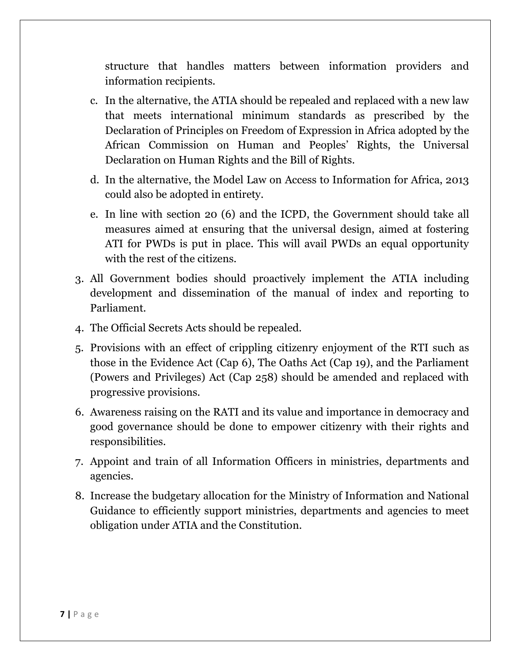structure that handles matters between information providers and information recipients.

- c. In the alternative, the ATIA should be repealed and replaced with a new law that meets international minimum standards as prescribed by the Declaration of Principles on Freedom of Expression in Africa adopted by the African Commission on Human and Peoples' Rights, the Universal Declaration on Human Rights and the Bill of Rights.
- d. In the alternative, the Model Law on Access to Information for Africa, 2013 could also be adopted in entirety.
- e. In line with section 20 (6) and the ICPD, the Government should take all measures aimed at ensuring that the universal design, aimed at fostering ATI for PWDs is put in place. This will avail PWDs an equal opportunity with the rest of the citizens.
- 3. All Government bodies should proactively implement the ATIA including development and dissemination of the manual of index and reporting to Parliament.
- 4. The Official Secrets Acts should be repealed.
- 5. Provisions with an effect of crippling citizenry enjoyment of the RTI such as those in the Evidence Act (Cap 6), The Oaths Act (Cap 19), and the Parliament (Powers and Privileges) Act (Cap 258) should be amended and replaced with progressive provisions.
- 6. Awareness raising on the RATI and its value and importance in democracy and good governance should be done to empower citizenry with their rights and responsibilities.
- 7. Appoint and train of all Information Officers in ministries, departments and agencies.
- 8. Increase the budgetary allocation for the Ministry of Information and National Guidance to efficiently support ministries, departments and agencies to meet obligation under ATIA and the Constitution.